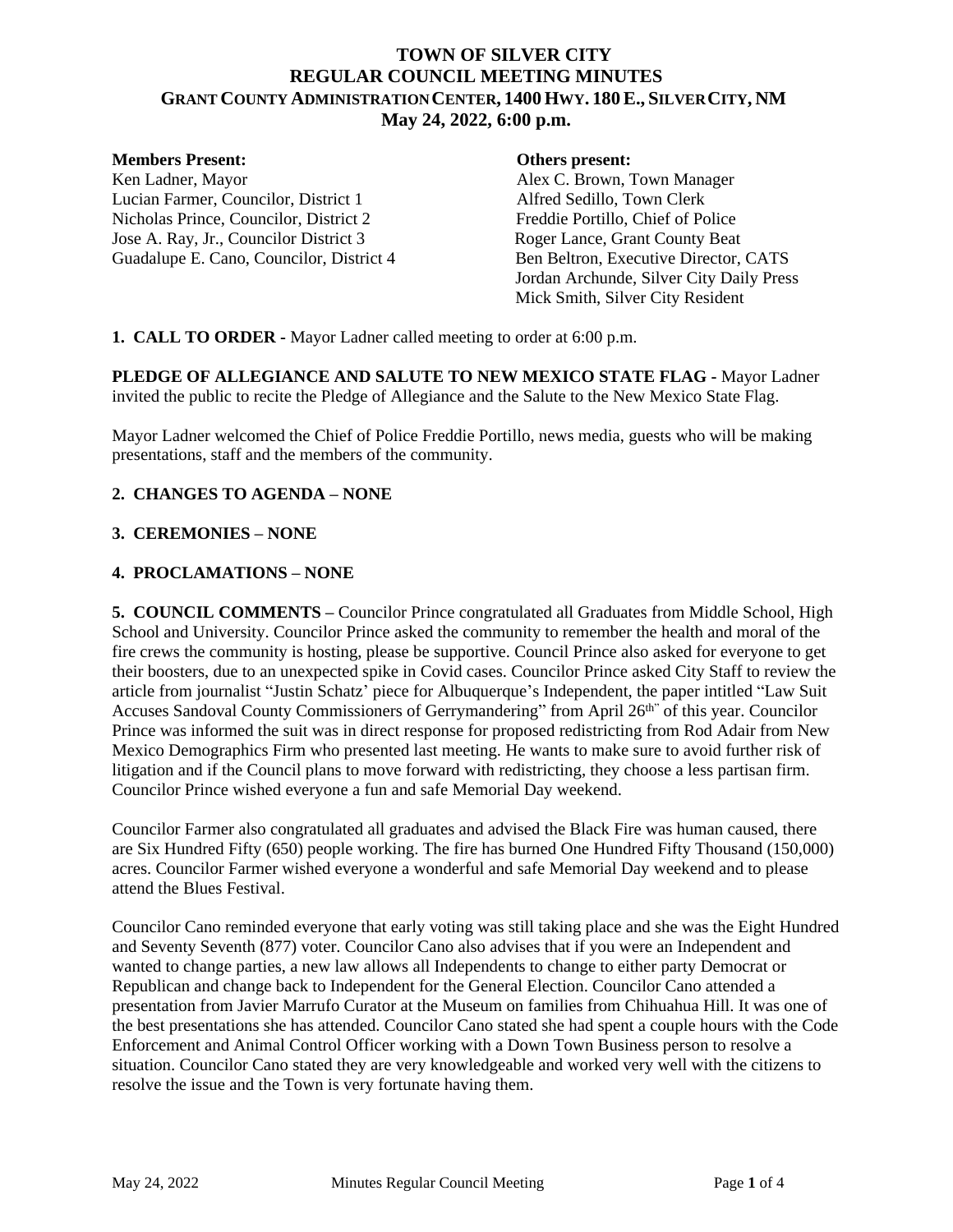# **TOWN OF SILVER CITY REGULAR COUNCIL MEETING MINUTES GRANT COUNTY ADMINISTRATION CENTER, 1400 HWY. 180E., SILVER CITY, NM May 24, 2022, 6:00 p.m.**

#### **Members Present: Others present:**

Ken Ladner, Mayor **Alex C. Brown, Town Manager** Lucian Farmer, Councilor, District 1 Alfred Sedillo, Town Clerk Nicholas Prince, Councilor, District 2<br>
Jose A. Ray, Jr., Councilor District 3<br>
Roger Lance, Grant County Beat Jose A. Ray, Jr., Councilor District 3 Guadalupe E. Cano, Councilor, District 4 Ben Beltron, Executive Director, CATS

Jordan Archunde, Silver City Daily Press Mick Smith, Silver City Resident

**1. CALL TO ORDER -** Mayor Ladner called meeting to order at 6:00 p.m.

**PLEDGE OF ALLEGIANCE AND SALUTE TO NEW MEXICO STATE FLAG -** Mayor Ladner invited the public to recite the Pledge of Allegiance and the Salute to the New Mexico State Flag.

Mayor Ladner welcomed the Chief of Police Freddie Portillo, news media, guests who will be making presentations, staff and the members of the community.

## **2. CHANGES TO AGENDA – NONE**

### **3. CEREMONIES – NONE**

## **4. PROCLAMATIONS – NONE**

**5. COUNCIL COMMENTS –** Councilor Prince congratulated all Graduates from Middle School, High School and University. Councilor Prince asked the community to remember the health and moral of the fire crews the community is hosting, please be supportive. Council Prince also asked for everyone to get their boosters, due to an unexpected spike in Covid cases. Councilor Prince asked City Staff to review the article from journalist "Justin Schatz' piece for Albuquerque's Independent, the paper intitled "Law Suit Accuses Sandoval County Commissioners of Gerrymandering" from April 26<sup>th"</sup> of this year. Councilor Prince was informed the suit was in direct response for proposed redistricting from Rod Adair from New Mexico Demographics Firm who presented last meeting. He wants to make sure to avoid further risk of litigation and if the Council plans to move forward with redistricting, they choose a less partisan firm. Councilor Prince wished everyone a fun and safe Memorial Day weekend.

Councilor Farmer also congratulated all graduates and advised the Black Fire was human caused, there are Six Hundred Fifty (650) people working. The fire has burned One Hundred Fifty Thousand (150,000) acres. Councilor Farmer wished everyone a wonderful and safe Memorial Day weekend and to please attend the Blues Festival.

Councilor Cano reminded everyone that early voting was still taking place and she was the Eight Hundred and Seventy Seventh (877) voter. Councilor Cano also advises that if you were an Independent and wanted to change parties, a new law allows all Independents to change to either party Democrat or Republican and change back to Independent for the General Election. Councilor Cano attended a presentation from Javier Marrufo Curator at the Museum on families from Chihuahua Hill. It was one of the best presentations she has attended. Councilor Cano stated she had spent a couple hours with the Code Enforcement and Animal Control Officer working with a Down Town Business person to resolve a situation. Councilor Cano stated they are very knowledgeable and worked very well with the citizens to resolve the issue and the Town is very fortunate having them.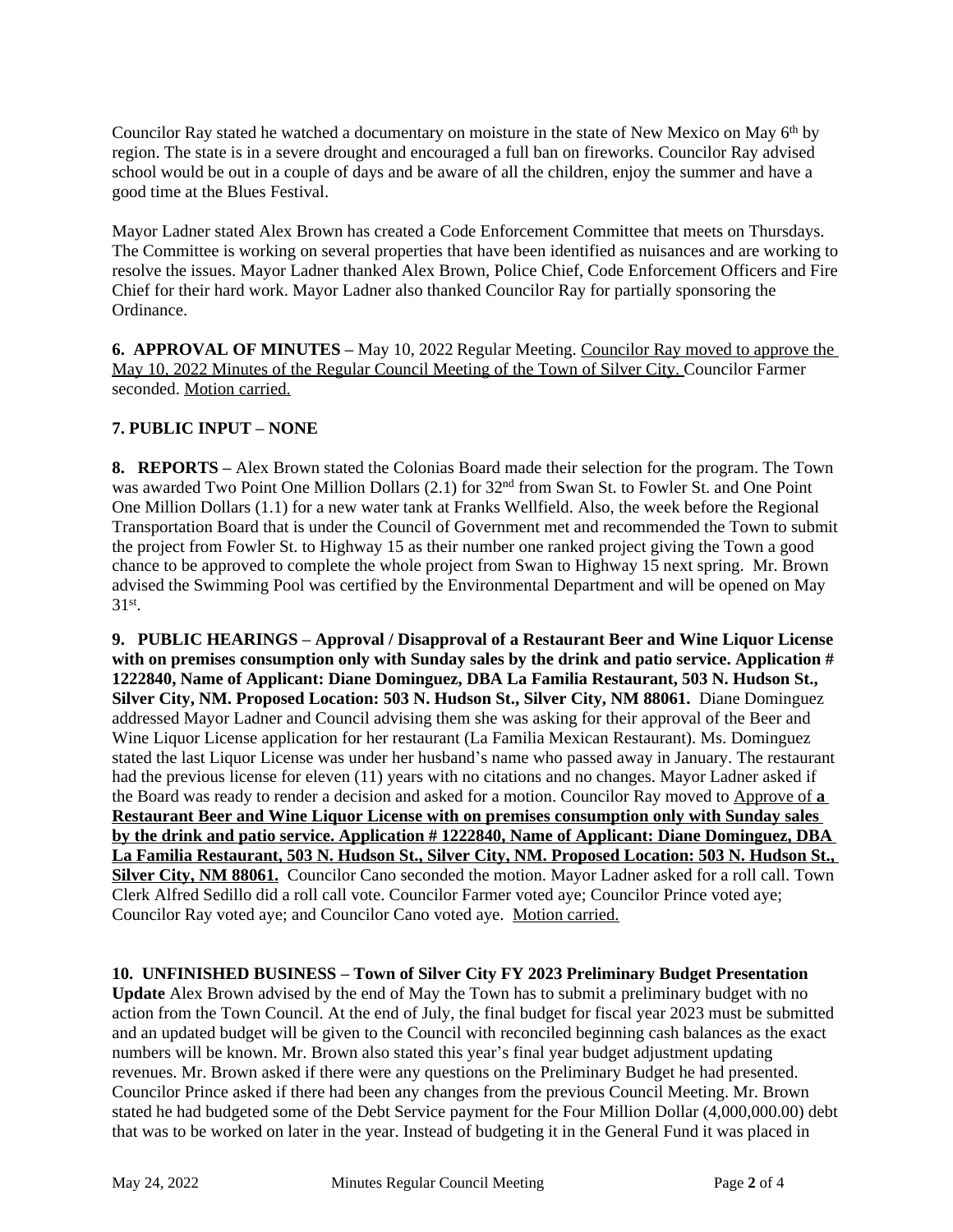Councilor Ray stated he watched a documentary on moisture in the state of New Mexico on May 6th by region. The state is in a severe drought and encouraged a full ban on fireworks. Councilor Ray advised school would be out in a couple of days and be aware of all the children, enjoy the summer and have a good time at the Blues Festival.

Mayor Ladner stated Alex Brown has created a Code Enforcement Committee that meets on Thursdays. The Committee is working on several properties that have been identified as nuisances and are working to resolve the issues. Mayor Ladner thanked Alex Brown, Police Chief, Code Enforcement Officers and Fire Chief for their hard work. Mayor Ladner also thanked Councilor Ray for partially sponsoring the Ordinance.

**6. APPROVAL OF MINUTES –** May 10, 2022 Regular Meeting. Councilor Ray moved to approve the May 10, 2022 Minutes of the Regular Council Meeting of the Town of Silver City. Councilor Farmer seconded. Motion carried.

# **7. PUBLIC INPUT – NONE**

**8. REPORTS –** Alex Brown stated the Colonias Board made their selection for the program. The Town was awarded Two Point One Million Dollars (2.1) for 32nd from Swan St. to Fowler St. and One Point One Million Dollars (1.1) for a new water tank at Franks Wellfield. Also, the week before the Regional Transportation Board that is under the Council of Government met and recommended the Town to submit the project from Fowler St. to Highway 15 as their number one ranked project giving the Town a good chance to be approved to complete the whole project from Swan to Highway 15 next spring. Mr. Brown advised the Swimming Pool was certified by the Environmental Department and will be opened on May 31st.

**9. PUBLIC HEARINGS – Approval / Disapproval of a Restaurant Beer and Wine Liquor License**  with on premises consumption only with Sunday sales by the drink and patio service. Application # **1222840, Name of Applicant: Diane Dominguez, DBA La Familia Restaurant, 503 N. Hudson St., Silver City, NM. Proposed Location: 503 N. Hudson St., Silver City, NM 88061.** Diane Dominguez addressed Mayor Ladner and Council advising them she was asking for their approval of the Beer and Wine Liquor License application for her restaurant (La Familia Mexican Restaurant). Ms. Dominguez stated the last Liquor License was under her husband's name who passed away in January. The restaurant had the previous license for eleven (11) years with no citations and no changes. Mayor Ladner asked if the Board was ready to render a decision and asked for a motion. Councilor Ray moved to Approve of **a Restaurant Beer and Wine Liquor License with on premises consumption only with Sunday sales by the drink and patio service. Application # 1222840, Name of Applicant: Diane Dominguez, DBA La Familia Restaurant, 503 N. Hudson St., Silver City, NM. Proposed Location: 503 N. Hudson St., Silver City, NM 88061.** Councilor Cano seconded the motion. Mayor Ladner asked for a roll call. Town Clerk Alfred Sedillo did a roll call vote. Councilor Farmer voted aye; Councilor Prince voted aye; Councilor Ray voted aye; and Councilor Cano voted aye. Motion carried.

**10. UNFINISHED BUSINESS – Town of Silver City FY 2023 Preliminary Budget Presentation Update** Alex Brown advised by the end of May the Town has to submit a preliminary budget with no action from the Town Council. At the end of July, the final budget for fiscal year 2023 must be submitted and an updated budget will be given to the Council with reconciled beginning cash balances as the exact numbers will be known. Mr. Brown also stated this year's final year budget adjustment updating revenues. Mr. Brown asked if there were any questions on the Preliminary Budget he had presented. Councilor Prince asked if there had been any changes from the previous Council Meeting. Mr. Brown stated he had budgeted some of the Debt Service payment for the Four Million Dollar (4,000,000.00) debt that was to be worked on later in the year. Instead of budgeting it in the General Fund it was placed in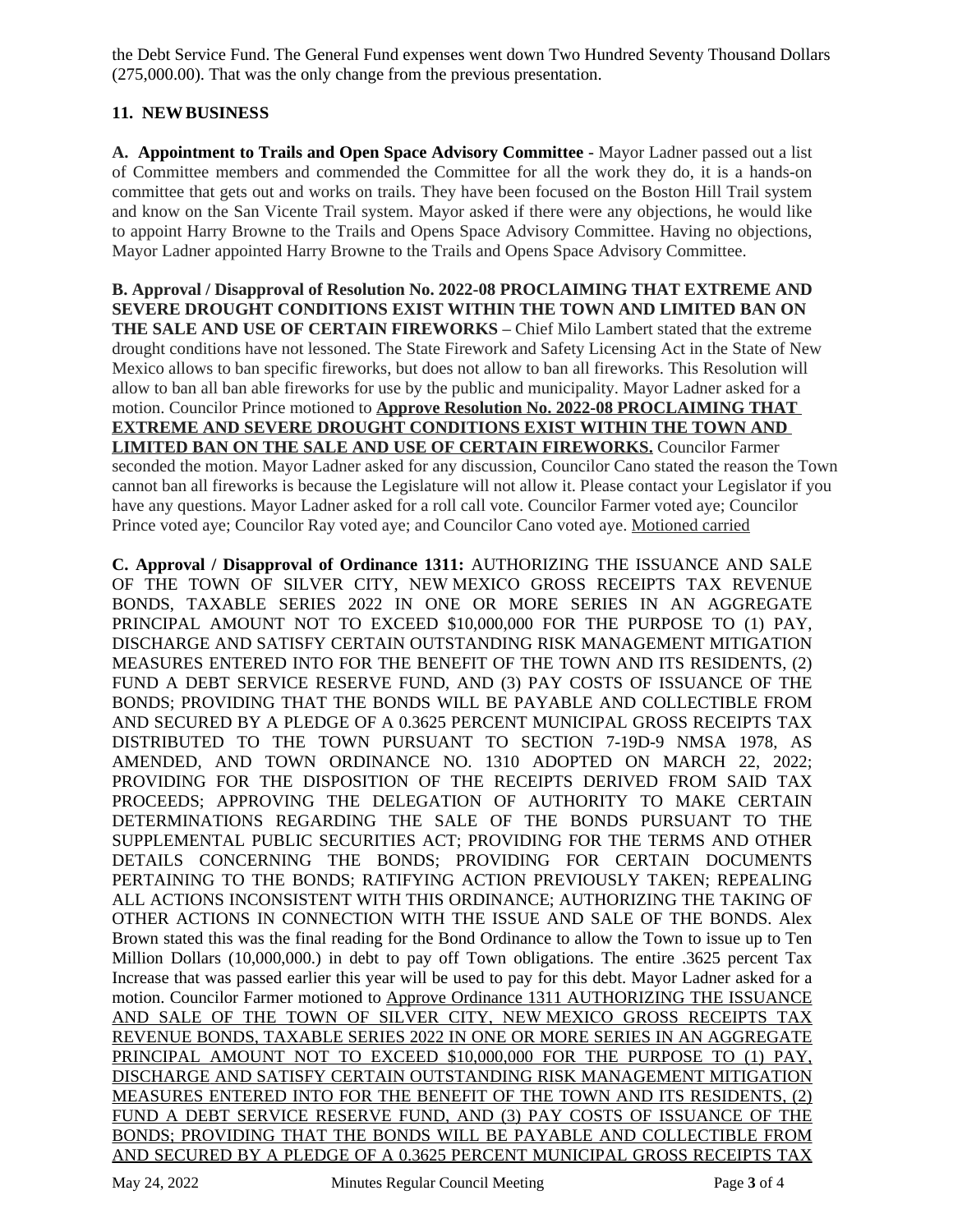the Debt Service Fund. The General Fund expenses went down Two Hundred Seventy Thousand Dollars (275,000.00). That was the only change from the previous presentation.

## **11. NEWBUSINESS**

**A. Appointment to Trails and Open Space Advisory Committee -** Mayor Ladner passed out a list of Committee members and commended the Committee for all the work they do, it is a hands-on committee that gets out and works on trails. They have been focused on the Boston Hill Trail system and know on the San Vicente Trail system. Mayor asked if there were any objections, he would like to appoint Harry Browne to the Trails and Opens Space Advisory Committee. Having no objections, Mayor Ladner appointed Harry Browne to the Trails and Opens Space Advisory Committee.

**B. Approval / Disapproval of Resolution No. 2022-08 PROCLAIMING THAT EXTREME AND SEVERE DROUGHT CONDITIONS EXIST WITHIN THE TOWN AND LIMITED BAN ON THE SALE AND USE OF CERTAIN FIREWORKS –** Chief Milo Lambert stated that the extreme drought conditions have not lessoned. The State Firework and Safety Licensing Act in the State of New Mexico allows to ban specific fireworks, but does not allow to ban all fireworks. This Resolution will allow to ban all ban able fireworks for use by the public and municipality. Mayor Ladner asked for a motion. Councilor Prince motioned to **Approve Resolution No. 2022-08 PROCLAIMING THAT EXTREME AND SEVERE DROUGHT CONDITIONS EXIST WITHIN THE TOWN AND LIMITED BAN ON THE SALE AND USE OF CERTAIN FIREWORKS.** Councilor Farmer seconded the motion. Mayor Ladner asked for any discussion, Councilor Cano stated the reason the Town cannot ban all fireworks is because the Legislature will not allow it. Please contact your Legislator if you have any questions. Mayor Ladner asked for a roll call vote. Councilor Farmer voted aye; Councilor Prince voted aye; Councilor Ray voted aye; and Councilor Cano voted aye. Motioned carried

**C. Approval / Disapproval of Ordinance 1311:** AUTHORIZING THE ISSUANCE AND SALE OF THE TOWN OF SILVER CITY, NEW MEXICO GROSS RECEIPTS TAX REVENUE BONDS, TAXABLE SERIES 2022 IN ONE OR MORE SERIES IN AN AGGREGATE PRINCIPAL AMOUNT NOT TO EXCEED \$10,000,000 FOR THE PURPOSE TO (1) PAY, DISCHARGE AND SATISFY CERTAIN OUTSTANDING RISK MANAGEMENT MITIGATION MEASURES ENTERED INTO FOR THE BENEFIT OF THE TOWN AND ITS RESIDENTS, (2) FUND A DEBT SERVICE RESERVE FUND, AND (3) PAY COSTS OF ISSUANCE OF THE BONDS; PROVIDING THAT THE BONDS WILL BE PAYABLE AND COLLECTIBLE FROM AND SECURED BY A PLEDGE OF A 0.3625 PERCENT MUNICIPAL GROSS RECEIPTS TAX DISTRIBUTED TO THE TOWN PURSUANT TO SECTION 7-19D-9 NMSA 1978, AS AMENDED, AND TOWN ORDINANCE NO. 1310 ADOPTED ON MARCH 22, 2022; PROVIDING FOR THE DISPOSITION OF THE RECEIPTS DERIVED FROM SAID TAX PROCEEDS; APPROVING THE DELEGATION OF AUTHORITY TO MAKE CERTAIN DETERMINATIONS REGARDING THE SALE OF THE BONDS PURSUANT TO THE SUPPLEMENTAL PUBLIC SECURITIES ACT; PROVIDING FOR THE TERMS AND OTHER DETAILS CONCERNING THE BONDS; PROVIDING FOR CERTAIN DOCUMENTS PERTAINING TO THE BONDS; RATIFYING ACTION PREVIOUSLY TAKEN; REPEALING ALL ACTIONS INCONSISTENT WITH THIS ORDINANCE; AUTHORIZING THE TAKING OF OTHER ACTIONS IN CONNECTION WITH THE ISSUE AND SALE OF THE BONDS. Alex Brown stated this was the final reading for the Bond Ordinance to allow the Town to issue up to Ten Million Dollars (10,000,000.) in debt to pay off Town obligations. The entire .3625 percent Tax Increase that was passed earlier this year will be used to pay for this debt. Mayor Ladner asked for a motion. Councilor Farmer motioned to Approve Ordinance 1311 AUTHORIZING THE ISSUANCE AND SALE OF THE TOWN OF SILVER CITY, NEW MEXICO GROSS RECEIPTS TAX REVENUE BONDS, TAXABLE SERIES 2022 IN ONE OR MORE SERIES IN AN AGGREGATE PRINCIPAL AMOUNT NOT TO EXCEED \$10,000,000 FOR THE PURPOSE TO (1) PAY, DISCHARGE AND SATISFY CERTAIN OUTSTANDING RISK MANAGEMENT MITIGATION MEASURES ENTERED INTO FOR THE BENEFIT OF THE TOWN AND ITS RESIDENTS, (2) FUND A DEBT SERVICE RESERVE FUND, AND (3) PAY COSTS OF ISSUANCE OF THE BONDS; PROVIDING THAT THE BONDS WILL BE PAYABLE AND COLLECTIBLE FROM AND SECURED BY A PLEDGE OF A 0.3625 PERCENT MUNICIPAL GROSS RECEIPTS TAX